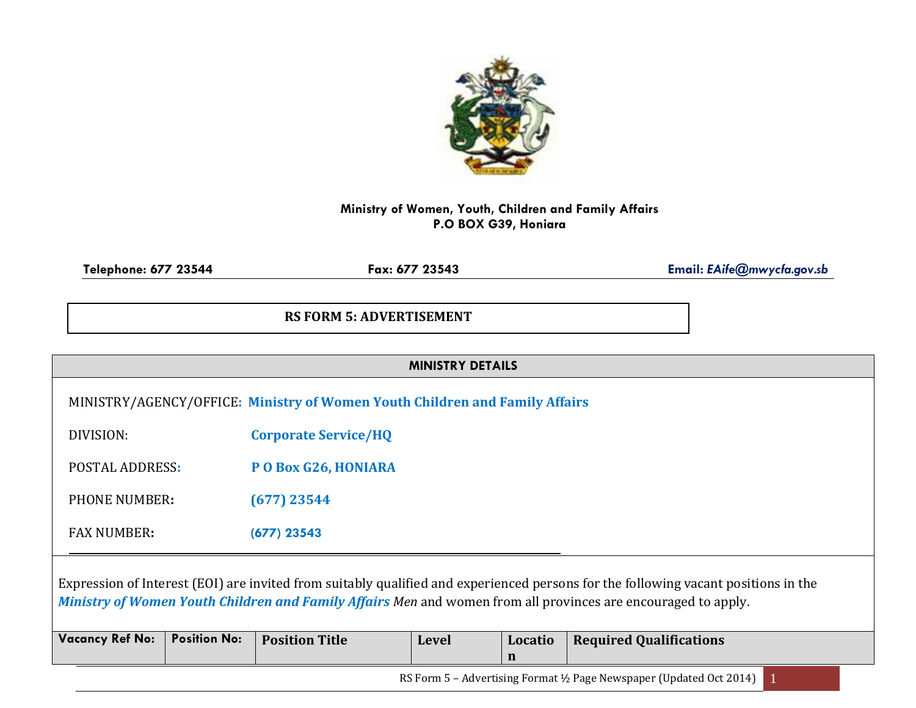

## **Ministry of Women, Youth, Children and Family Affairs P.O BOX G39, Honiara**

**Telephone: 677 23544 Fax: 677 23543 Email:** *EAife@mwycfa.gov.sb*

## **RS FORM 5: ADVERTISEMENT**

|                                                                                                                                                                                                                                                     |                     | MINISTRY/AGENCY/OFFICE: Ministry of Women Youth Children and Family Affairs |              |         |                                |  |  |  |  |
|-----------------------------------------------------------------------------------------------------------------------------------------------------------------------------------------------------------------------------------------------------|---------------------|-----------------------------------------------------------------------------|--------------|---------|--------------------------------|--|--|--|--|
| DIVISION:<br><b>Corporate Service/HQ</b>                                                                                                                                                                                                            |                     |                                                                             |              |         |                                |  |  |  |  |
| POSTAL ADDRESS:                                                                                                                                                                                                                                     |                     | PO Box G26, HONIARA                                                         |              |         |                                |  |  |  |  |
| PHONE NUMBER:                                                                                                                                                                                                                                       |                     | $(677)$ 23544                                                               |              |         |                                |  |  |  |  |
| <b>FAX NUMBER:</b>                                                                                                                                                                                                                                  |                     | $(677)$ 23543                                                               |              |         |                                |  |  |  |  |
| Expression of Interest (EOI) are invited from suitably qualified and experienced persons for the following vacant positions in the<br>Ministry of Women Youth Children and Family Affairs Men and women from all provinces are encouraged to apply. |                     |                                                                             |              |         |                                |  |  |  |  |
| <b>Vacancy Ref No:</b>                                                                                                                                                                                                                              | <b>Position No:</b> | <b>Position Title</b>                                                       | <b>Level</b> | Locatio | <b>Required Qualifications</b> |  |  |  |  |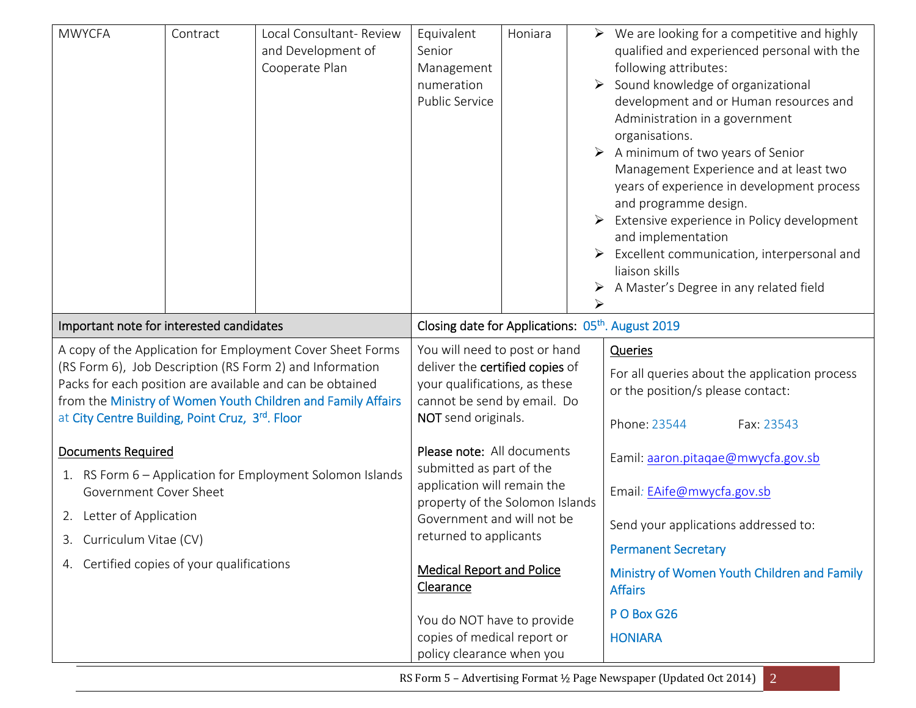| <b>MWYCFA</b>                                                                                                                                                                                                                                                                                          | Contract | Local Consultant-Review<br>and Development of<br>Cooperate Plan                                                                                                                                                                                                                                                                    | Equivalent<br>Senior<br>Management<br>numeration<br>Public Service                                                                                      | Honiara |                                                                                                                                                                                                                                         | $\triangleright$ We are looking for a competitive and highly<br>qualified and experienced personal with the<br>following attributes:<br>$\triangleright$ Sound knowledge of organizational<br>development and or Human resources and<br>Administration in a government<br>organisations.<br>$\triangleright$ A minimum of two years of Senior<br>Management Experience and at least two<br>years of experience in development process<br>and programme design.<br>Extensive experience in Policy development<br>and implementation<br>Excellent communication, interpersonal and<br>liaison skills<br>A Master's Degree in any related field |
|--------------------------------------------------------------------------------------------------------------------------------------------------------------------------------------------------------------------------------------------------------------------------------------------------------|----------|------------------------------------------------------------------------------------------------------------------------------------------------------------------------------------------------------------------------------------------------------------------------------------------------------------------------------------|---------------------------------------------------------------------------------------------------------------------------------------------------------|---------|-----------------------------------------------------------------------------------------------------------------------------------------------------------------------------------------------------------------------------------------|----------------------------------------------------------------------------------------------------------------------------------------------------------------------------------------------------------------------------------------------------------------------------------------------------------------------------------------------------------------------------------------------------------------------------------------------------------------------------------------------------------------------------------------------------------------------------------------------------------------------------------------------|
| Important note for interested candidates                                                                                                                                                                                                                                                               |          | Closing date for Applications: 05 <sup>th</sup> . August 2019                                                                                                                                                                                                                                                                      |                                                                                                                                                         |         |                                                                                                                                                                                                                                         |                                                                                                                                                                                                                                                                                                                                                                                                                                                                                                                                                                                                                                              |
| A copy of the Application for Employment Cover Sheet Forms<br>(RS Form 6), Job Description (RS Form 2) and Information<br>Packs for each position are available and can be obtained<br>from the Ministry of Women Youth Children and Family Affairs<br>at City Centre Building, Point Cruz, 3rd. Floor |          |                                                                                                                                                                                                                                                                                                                                    | You will need to post or hand<br>deliver the certified copies of<br>your qualifications, as these<br>cannot be send by email. Do<br>NOT send originals. |         |                                                                                                                                                                                                                                         | Queries<br>For all queries about the application process<br>or the position/s please contact:<br>Phone: 23544<br>Fax: 23543                                                                                                                                                                                                                                                                                                                                                                                                                                                                                                                  |
| <b>Documents Required</b><br>1. RS Form 6 - Application for Employment Solomon Islands<br>Government Cover Sheet<br>2. Letter of Application<br>Curriculum Vitae (CV)<br>3.<br>4. Certified copies of your qualifications                                                                              |          | Please note: All documents<br>submitted as part of the<br>application will remain the<br>property of the Solomon Islands<br>Government and will not be<br>returned to applicants<br><b>Medical Report and Police</b><br><b>Clearance</b><br>You do NOT have to provide<br>copies of medical report or<br>policy clearance when you |                                                                                                                                                         |         | Eamil: aaron.pitaqae@mwycfa.gov.sb<br>Email: EAife@mwycfa.gov.sb<br>Send your applications addressed to:<br><b>Permanent Secretary</b><br>Ministry of Women Youth Children and Family<br><b>Affairs</b><br>PO Box G26<br><b>HONIARA</b> |                                                                                                                                                                                                                                                                                                                                                                                                                                                                                                                                                                                                                                              |

RS Form 5 - Advertising Format ½ Page Newspaper (Updated Oct 2014) 2